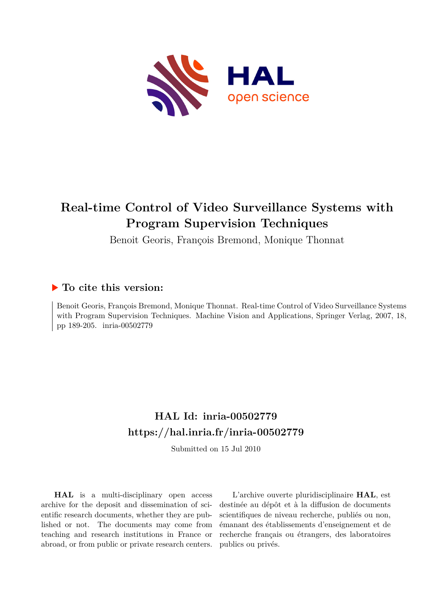

# **Real-time Control of Video Surveillance Systems with Program Supervision Techniques**

Benoit Georis, François Bremond, Monique Thonnat

# **To cite this version:**

Benoit Georis, François Bremond, Monique Thonnat. Real-time Control of Video Surveillance Systems with Program Supervision Techniques. Machine Vision and Applications, Springer Verlag, 2007, 18, pp 189-205. inria-00502779

# **HAL Id: inria-00502779 <https://hal.inria.fr/inria-00502779>**

Submitted on 15 Jul 2010

**HAL** is a multi-disciplinary open access archive for the deposit and dissemination of scientific research documents, whether they are published or not. The documents may come from teaching and research institutions in France or abroad, or from public or private research centers.

L'archive ouverte pluridisciplinaire **HAL**, est destinée au dépôt et à la diffusion de documents scientifiques de niveau recherche, publiés ou non, émanant des établissements d'enseignement et de recherche français ou étrangers, des laboratoires publics ou privés.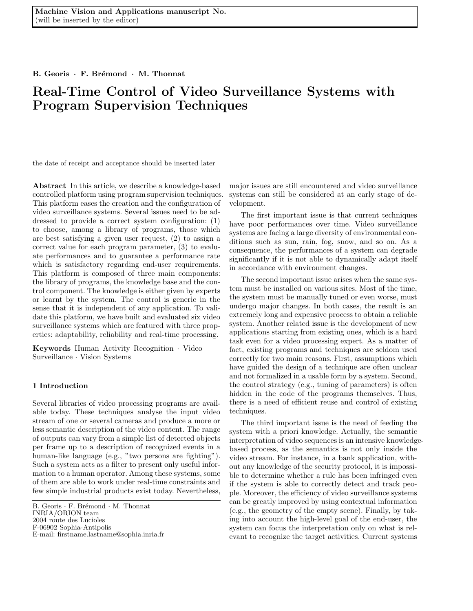B. Georis · F. Brémond · M. Thonnat

# Real-Time Control of Video Surveillance Systems with Program Supervision Techniques

the date of receipt and acceptance should be inserted later

Abstract In this article, we describe a knowledge-based controlled platform using program supervision techniques. This platform eases the creation and the configuration of video surveillance systems. Several issues need to be addressed to provide a correct system configuration: (1) to choose, among a library of programs, those which are best satisfying a given user request, (2) to assign a correct value for each program parameter, (3) to evaluate performances and to guarantee a performance rate which is satisfactory regarding end-user requirements. This platform is composed of three main components: the library of programs, the knowledge base and the control component. The knowledge is either given by experts or learnt by the system. The control is generic in the sense that it is independent of any application. To validate this platform, we have built and evaluated six video surveillance systems which are featured with three properties: adaptability, reliability and real-time processing.

Keywords Human Activity Recognition · Video Surveillance · Vision Systems

### 1 Introduction

Several libraries of video processing programs are available today. These techniques analyse the input video stream of one or several cameras and produce a more or less semantic description of the video content. The range of outputs can vary from a simple list of detected objects per frame up to a description of recognized events in a human-like language (e.g., "two persons are fighting"). Such a system acts as a filter to present only useful information to a human operator. Among these systems, some of them are able to work under real-time constraints and few simple industrial products exist today. Nevertheless,

B. Georis · F. Brémond · M. Thonnat INRIA/ORION team 2004 route des Lucioles F-06902 Sophia-Antipolis E-mail: firstname.lastname@sophia.inria.fr

major issues are still encountered and video surveillance systems can still be considered at an early stage of development.

The first important issue is that current techniques have poor performances over time. Video surveillance systems are facing a large diversity of environmental conditions such as sun, rain, fog, snow, and so on. As a consequence, the performances of a system can degrade significantly if it is not able to dynamically adapt itself in accordance with environment changes.

The second important issue arises when the same system must be installed on various sites. Most of the time, the system must be manually tuned or even worse, must undergo major changes. In both cases, the result is an extremely long and expensive process to obtain a reliable system. Another related issue is the development of new applications starting from existing ones, which is a hard task even for a video processing expert. As a matter of fact, existing programs and techniques are seldom used correctly for two main reasons. First, assumptions which have guided the design of a technique are often unclear and not formalized in a usable form by a system. Second, the control strategy (e.g., tuning of parameters) is often hidden in the code of the programs themselves. Thus, there is a need of efficient reuse and control of existing techniques.

The third important issue is the need of feeding the system with a priori knowledge. Actually, the semantic interpretation of video sequences is an intensive knowledgebased process, as the semantics is not only inside the video stream. For instance, in a bank application, without any knowledge of the security protocol, it is impossible to determine whether a rule has been infringed even if the system is able to correctly detect and track people. Moreover, the efficiency of video surveillance systems can be greatly improved by using contextual information (e.g., the geometry of the empty scene). Finally, by taking into account the high-level goal of the end-user, the system can focus the interpretation only on what is relevant to recognize the target activities. Current systems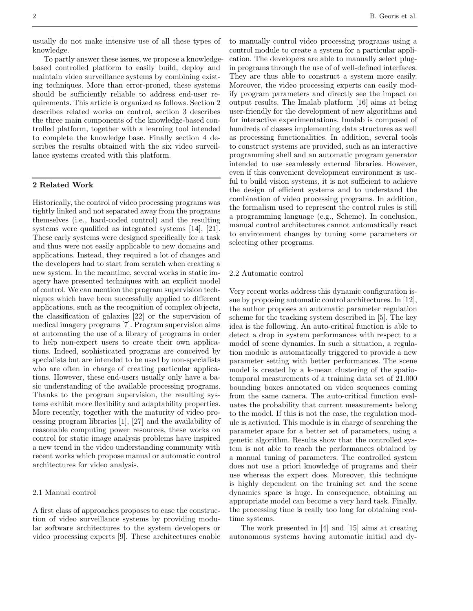To partly answer these issues, we propose a knowledgebased controlled platform to easily build, deploy and maintain video surveillance systems by combining existing techniques. More than error-proned, these systems should be sufficiently reliable to address end-user requirements. This article is organized as follows. Section 2 describes related works on control, section 3 describes the three main components of the knowledge-based controlled platform, together with a learning tool intended to complete the knowledge base. Finally section 4 describes the results obtained with the six video surveillance systems created with this platform.

## 2 Related Work

Historically, the control of video processing programs was tightly linked and not separated away from the programs themselves (i.e., hard-coded control) and the resulting systems were qualified as integrated systems [14], [21]. These early systems were designed specifically for a task and thus were not easily applicable to new domains and applications. Instead, they required a lot of changes and the developers had to start from scratch when creating a new system. In the meantime, several works in static imagery have presented techniques with an explicit model of control. We can mention the program supervision techniques which have been successfully applied to different applications, such as the recognition of complex objects, the classification of galaxies [22] or the supervision of medical imagery programs [7]. Program supervision aims at automating the use of a library of programs in order to help non-expert users to create their own applications. Indeed, sophisticated programs are conceived by specialists but are intended to be used by non-specialists who are often in charge of creating particular applications. However, these end-users usually only have a basic understanding of the available processing programs. Thanks to the program supervision, the resulting systems exhibit more flexibility and adaptability properties. More recently, together with the maturity of video processing program libraries [1], [27] and the availability of reasonable computing power resources, these works on control for static image analysis problems have inspired a new trend in the video understanding community with recent works which propose manual or automatic control architectures for video analysis.

### 2.1 Manual control

A first class of approaches proposes to ease the construction of video surveillance systems by providing modular software architectures to the system developers or video processing experts [9]. These architectures enable to manually control video processing programs using a control module to create a system for a particular application. The developers are able to manually select plugin programs through the use of of well-defined interfaces. They are thus able to construct a system more easily. Moreover, the video processing experts can easily modify program parameters and directly see the impact on output results. The Imalab platform [16] aims at being user-friendly for the development of new algorithms and for interactive experimentations. Imalab is composed of hundreds of classes implementing data structures as well as processing functionalities. In addition, several tools to construct systems are provided, such as an interactive programming shell and an automatic program generator intended to use seamlessly external libraries. However, even if this convenient development environment is useful to build vision systems, it is not sufficient to achieve the design of efficient systems and to understand the combination of video processing programs. In addition, the formalism used to represent the control rules is still a programming language (e.g., Scheme). In conclusion, manual control architectures cannot automatically react to environment changes by tuning some parameters or selecting other programs.

#### 2.2 Automatic control

Very recent works address this dynamic configuration issue by proposing automatic control architectures. In [12], the author proposes an automatic parameter regulation scheme for the tracking system described in [5]. The key idea is the following. An auto-critical function is able to detect a drop in system performances with respect to a model of scene dynamics. In such a situation, a regulation module is automatically triggered to provide a new parameter setting with better performances. The scene model is created by a k-mean clustering of the spatiotemporal measurements of a training data set of 21.000 bounding boxes annotated on video sequences coming from the same camera. The auto-critical function evaluates the probability that current measurements belong to the model. If this is not the case, the regulation module is activated. This module is in charge of searching the parameter space for a better set of parameters, using a genetic algorithm. Results show that the controlled system is not able to reach the performances obtained by a manual tuning of parameters. The controlled system does not use a priori knowledge of programs and their use whereas the expert does. Moreover, this technique is highly dependent on the training set and the scene dynamics space is huge. In consequence, obtaining an appropriate model can become a very hard task. Finally, the processing time is really too long for obtaining realtime systems.

The work presented in [4] and [15] aims at creating autonomous systems having automatic initial and dy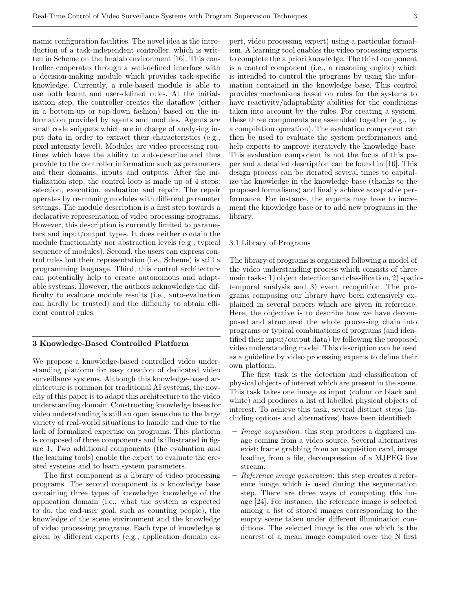namic configuration facilities. The novel idea is the introduction of a task-independent controller, which is written in Scheme on the Imalab environment [16]. This controller cooperates through a well-defined interface with a decision-making module which provides task-specific knowledge. Currently, a rule-based module is able to use both learnt and user-defined rules. At the initialization step, the controller creates the dataflow (either in a bottom-up or top-down fashion) based on the information provided by agents and modules. Agents are small code snippets which are in charge of analysing input data in order to extract their characteristics (e.g., pixel intensity level). Modules are video processing routines which have the ability to auto-describe and thus provide to the controller information such as parameters and their domains, inputs and outputs. After the initialization step, the control loop is made up of 4 steps: selection, execution, evaluation and repair. The repair operates by re-running modules with different parameter settings. The module description is a first step towards a declarative representation of video processing programs. However, this description is currently limited to parameters and input/output types. It does neither contain the module functionality nor abstraction levels (e.g., typical sequence of modules). Second, the users can express control rules but their representation (i.e., Scheme) is still a programming language. Third, this control architecture can potentially help to create autonomous and adaptable systems. However, the authors acknowledge the difficulty to evaluate module results (i.e., auto-evaluation can hardly be trusted) and the difficulty to obtain efficient control rules.

# 3 Knowledge-Based Controlled Platform

We propose a knowledge-based controlled video understanding platform for easy creation of dedicated video surveillance systems. Although this knowledge-based architecture is common for traditional AI systems, the novelty of this paper is to adapt this architecture to the video understanding domain. Constructing knowledge bases for video understanding is still an open issue due to the large variety of real-world situations to handle and due to the lack of formalized expertise on programs. This platform is composed of three components and is illustrated in figure 1. Two additional components (the evaluation and the learning tools) enable the expert to evaluate the created systems and to learn system parameters.

The first component is a library of video processing programs. The second component is a knowledge base containing three types of knowledge: knowledge of the application domain (i.e., what the system is expected to do, the end-user goal, such as counting people), the knowledge of the scene environment and the knowledge of video processing programs. Each type of knowledge is given by different experts (e.g., application domain ex-

pert, video processing expert) using a particular formalism. A learning tool enables the video processing experts to complete the a priori knowledge. The third component is a control component (i.e., a reasoning engine) which is intended to control the programs by using the information contained in the knowledge base. This control provides mechanisms based on rules for the systems to have reactivity/adaptability abilities for the conditions taken into account by the rules. For creating a system, these three components are assembled together (e.g., by a compilation operation). The evaluation component can then be used to evaluate the system performances and help experts to improve iteratively the knowledge base. This evaluation component is not the focus of this paper and a detailed description can be found in [10]. This design process can be iterated several times to capitalize the knowledge in the knowledge base (thanks to the proposed formalisms) and finally achieve acceptable performance. For instance, the experts may have to increment the knowledge base or to add new programs in the library.

#### 3.1 Library of Programs

The library of programs is organized following a model of the video understanding process which consists of three main tasks: 1) object detection and classification, 2) spatiotemporal analysis and 3) event recognition. The programs composing our library have been extensively explained in several papers which are given in reference. Here, the objective is to describe how we have decomposed and structured the whole processing chain into programs or typical combinations of programs (and identified their input/output data) by following the proposed video understanding model. This description can be used as a guideline by video processing experts to define their own platform.

The first task is the detection and classification of physical objects of interest which are present in the scene. This task takes one image as input (colour or black and white) and produces a list of labelled physical objects of interest. To achieve this task, several distinct steps (including options and alternatives) have been identified:

- Image acquisition: this step produces a digitized image coming from a video source. Several alternatives exist: frame grabbing from an acquisition card, image loading from a file, decompression of a MJPEG live stream.
- Reference image generation: this step creates a reference image which is used during the segmentation step. There are three ways of computing this image [24]. For instance, the reference image is selected among a list of stored images corresponding to the empty scene taken under different illumination conditions. The selected image is the one which is the nearest of a mean image computed over the N first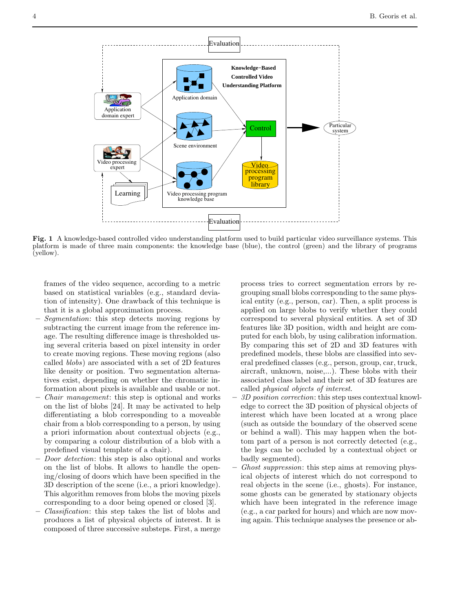

Fig. 1 A knowledge-based controlled video understanding platform used to build particular video surveillance systems. This platform is made of three main components: the knowledge base (blue), the control (green) and the library of programs (yellow).

frames of the video sequence, according to a metric based on statistical variables (e.g., standard deviation of intensity). One drawback of this technique is that it is a global approximation process.

- Segmentation: this step detects moving regions by subtracting the current image from the reference image. The resulting difference image is thresholded using several criteria based on pixel intensity in order to create moving regions. These moving regions (also called blobs) are associated with a set of 2D features like density or position. Two segmentation alternatives exist, depending on whether the chromatic information about pixels is available and usable or not.
- *Chair management*: this step is optional and works on the list of blobs [24]. It may be activated to help differentiating a blob corresponding to a moveable chair from a blob corresponding to a person, by using a priori information about contextual objects (e.g., by comparing a colour distribution of a blob with a predefined visual template of a chair).
- Door detection: this step is also optional and works on the list of blobs. It allows to handle the opening/closing of doors which have been specified in the 3D description of the scene (i.e., a priori knowledge). This algorithm removes from blobs the moving pixels corresponding to a door being opened or closed [3].
- Classification: this step takes the list of blobs and produces a list of physical objects of interest. It is composed of three successive substeps. First, a merge

process tries to correct segmentation errors by regrouping small blobs corresponding to the same physical entity (e.g., person, car). Then, a split process is applied on large blobs to verify whether they could correspond to several physical entities. A set of 3D features like 3D position, width and height are computed for each blob, by using calibration information. By comparing this set of 2D and 3D features with predefined models, these blobs are classified into several predefined classes (e.g., person, group, car, truck, aircraft, unknown, noise,...). These blobs with their associated class label and their set of 3D features are called physical objects of interest.

- 3D position correction: this step uses contextual knowledge to correct the 3D position of physical objects of interest which have been located at a wrong place (such as outside the boundary of the observed scene or behind a wall). This may happen when the bottom part of a person is not correctly detected (e.g., the legs can be occluded by a contextual object or badly segmented).
- Ghost suppression: this step aims at removing physical objects of interest which do not correspond to real objects in the scene (i.e., ghosts). For instance, some ghosts can be generated by stationary objects which have been integrated in the reference image (e.g., a car parked for hours) and which are now moving again. This technique analyses the presence or ab-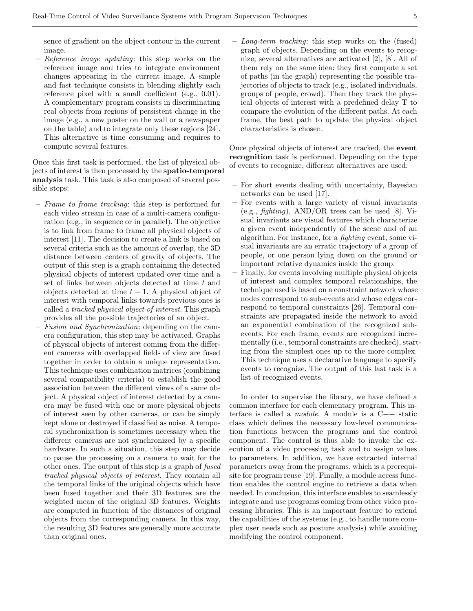sence of gradient on the object contour in the current image.

– Reference image updating: this step works on the reference image and tries to integrate environment changes appearing in the current image. A simple and fast technique consists in blending slightly each reference pixel with a small coefficient (e.g., 0.01). A complementary program consists in discriminating real objects from regions of persistent change in the image (e.g., a new poster on the wall or a newspaper on the table) and to integrate only these regions [24]. This alternative is time consuming and requires to compute several features.

Once this first task is performed, the list of physical objects of interest is then processed by the spatio-temporal analysis task. This task is also composed of several possible steps:

- Frame to frame tracking: this step is performed for each video stream in case of a multi-camera configuration (e.g., in sequence or in parallel). The objective is to link from frame to frame all physical objects of interest [11]. The decision to create a link is based on several criteria such as the amount of overlap, the 3D distance between centers of gravity of objects. The output of this step is a graph containing the detected physical objects of interest updated over time and a set of links between objects detected at time t and objects detected at time  $t - 1$ . A physical object of interest with temporal links towards previous ones is called a tracked physical object of interest. This graph provides all the possible trajectories of an object.
- Fusion and Synchronization: depending on the camera configuration, this step may be activated. Graphs of physical objects of interest coming from the different cameras with overlapped fields of view are fused together in order to obtain a unique representation. This technique uses combination matrices (combining several compatibility criteria) to establish the good association between the different views of a same object. A physical object of interest detected by a camera may be fused with one or more physical objects of interest seen by other cameras, or can be simply kept alone or destroyed if classified as noise. A temporal synchronization is sometimes necessary when the different cameras are not synchronized by a specific hardware. In such a situation, this step may decide to pause the processing on a camera to wait for the other ones. The output of this step is a graph of fused tracked physical objects of interest. They contain all the temporal links of the original objects which have been fused together and their 3D features are the weighted mean of the original 3D features. Weights are computed in function of the distances of original objects from the corresponding camera. In this way, the resulting 3D features are generally more accurate than original ones.

– Long-term tracking: this step works on the (fused) graph of objects. Depending on the events to recognize, several alternatives are activated [2], [8]. All of them rely on the same idea: they first compute a set of paths (in the graph) representing the possible trajectories of objects to track (e.g., isolated individuals, groups of people, crowd). Then they track the physical objects of interest with a predefined delay T to compare the evolution of the different paths. At each frame, the best path to update the physical object characteristics is chosen.

Once physical objects of interest are tracked, the event recognition task is performed. Depending on the type of events to recognize, different alternatives are used:

- For short events dealing with uncertainty, Bayesian networks can be used [17].
- For events with a large variety of visual invariants (e.g.,  $fighthing$ ), AND/OR trees can be used [8]. Visual invariants are visual features which characterize a given event independently of the scene and of an algorithm. For instance, for a fighting event, some visual invariants are an erratic trajectory of a group of people, or one person lying down on the ground or important relative dynamics inside the group.
- Finally, for events involving multiple physical objects of interest and complex temporal relationships, the technique used is based on a constraint network whose nodes correspond to sub-events and whose edges correspond to temporal constraints [26]. Temporal constraints are propagated inside the network to avoid an exponential combination of the recognized subevents. For each frame, events are recognized incrementally (i.e., temporal constraints are checked), starting from the simplest ones up to the more complex. This technique uses a declarative language to specify events to recognize. The output of this last task is a list of recognized events.

In order to supervise the library, we have defined a common interface for each elementary program. This interface is called a *module*. A module is a  $C++$  static class which defines the necessary low-level communication functions between the programs and the control component. The control is thus able to invoke the execution of a video processing task and to assign values to parameters. In addition, we have extracted internal parameters away from the programs, which is a prerequisite for program reuse [19]. Finally, a module access function enables the control engine to retrieve a data when needed. In conclusion, this interface enables to seamlessly integrate and use programs coming from other video processing libraries. This is an important feature to extend the capabilities of the systems (e.g., to handle more complex user needs such as posture analysis) while avoiding modifying the control component.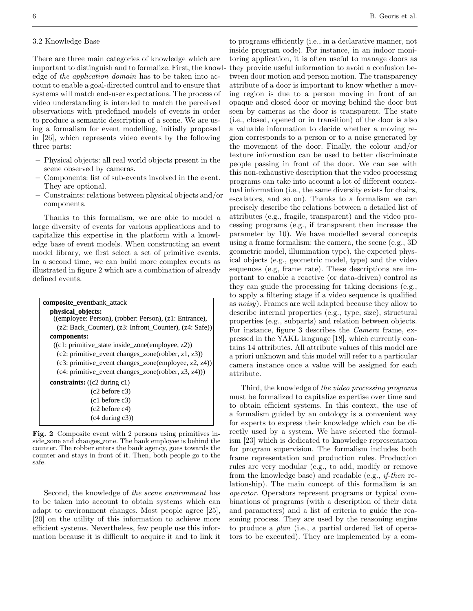# 3.2 Knowledge Base

There are three main categories of knowledge which are important to distinguish and to formalize. First, the knowledge of the application domain has to be taken into account to enable a goal-directed control and to ensure that systems will match end-user expectations. The process of video understanding is intended to match the perceived observations with predefined models of events in order to produce a semantic description of a scene. We are using a formalism for event modelling, initially proposed in [26], which represents video events by the following three parts:

- Physical objects: all real world objects present in the scene observed by cameras.
- Components: list of sub-events involved in the event. They are optional.
- Constraints: relations between physical objects and/or components.

Thanks to this formalism, we are able to model a large diversity of events for various applications and to capitalize this expertise in the platform with a knowledge base of event models. When constructing an event model library, we first select a set of primitive events. In a second time, we can build more complex events as illustrated in figure 2 which are a combination of already defined events.

| composite_eventbank_attack                                    |  |  |  |
|---------------------------------------------------------------|--|--|--|
| physical objects:                                             |  |  |  |
| ((employee: Person), (robber: Person), (z1: Entrance),        |  |  |  |
| $(z2: Back Counter)$ , $(z3: Infront Counter)$ , $(z4: Safe)$ |  |  |  |
| components:                                                   |  |  |  |
| $((c1: primitive\_state inside\_zone(employee, z2))$          |  |  |  |
| $(c2: primitive event changes zone(robber, z1, z3))$          |  |  |  |
| $(c3: primitive\_event changes_zone(emplovee, z2, z4))$       |  |  |  |
| $(c4: primitive_events changes_zone(robber, z3, z4)))$        |  |  |  |
| constraints: $((c2 \, \text{during } c1))$                    |  |  |  |
| $(c2 \text{ before } c3)$                                     |  |  |  |
| $(c1)$ before $c3)$                                           |  |  |  |
| $(c2 \text{ before } c4)$                                     |  |  |  |
| $(c4$ during $c3)$ )                                          |  |  |  |

Fig. 2 Composite event with 2 persons using primitives inside zone and changes zone. The bank employee is behind the counter. The robber enters the bank agency, goes towards the counter and stays in front of it. Then, both people go to the safe.

Second, the knowledge of the scene environment has to be taken into account to obtain systems which can adapt to environment changes. Most people agree [25], [20] on the utility of this information to achieve more efficient systems. Nevertheless, few people use this information because it is difficult to acquire it and to link it

to programs efficiently (i.e., in a declarative manner, not inside program code). For instance, in an indoor monitoring application, it is often useful to manage doors as they provide useful information to avoid a confusion between door motion and person motion. The transparency attribute of a door is important to know whether a moving region is due to a person moving in front of an opaque and closed door or moving behind the door but seen by cameras as the door is transparent. The state (i.e., closed, opened or in transition) of the door is also a valuable information to decide whether a moving region corresponds to a person or to a noise generated by the movement of the door. Finally, the colour and/or texture information can be used to better discriminate people passing in front of the door. We can see with this non-exhaustive description that the video processing programs can take into account a lot of different contextual information (i.e., the same diversity exists for chairs, escalators, and so on). Thanks to a formalism we can precisely describe the relations between a detailed list of attributes (e.g., fragile, transparent) and the video processing programs (e.g., if transparent then increase the parameter by 10). We have modelled several concepts using a frame formalism: the camera, the scene (e.g., 3D geometric model, illumination type), the expected physical objects (e.g., geometric model, type) and the video sequences (e.g, frame rate). These descriptions are important to enable a reactive (or data-driven) control as they can guide the processing for taking decisions (e.g., to apply a filtering stage if a video sequence is qualified as noisy). Frames are well adapted because they allow to describe internal properties (e.g., type, size), structural properties (e.g., subparts) and relation between objects. For instance, figure 3 describes the Camera frame, expressed in the YAKL language [18], which currently contains 14 attributes. All attribute values of this model are a priori unknown and this model will refer to a particular camera instance once a value will be assigned for each attribute.

Third, the knowledge of the video processing programs must be formalized to capitalize expertise over time and to obtain efficient systems. In this context, the use of a formalism guided by an ontology is a convenient way for experts to express their knowledge which can be directly used by a system. We have selected the formalism [23] which is dedicated to knowledge representation for program supervision. The formalism includes both frame representation and production rules. Production rules are very modular (e.g., to add, modify or remove from the knowledge base) and readable (e.g., if-then relationship). The main concept of this formalism is an operator. Operators represent programs or typical combinations of programs (with a description of their data and parameters) and a list of criteria to guide the reasoning process. They are used by the reasoning engine to produce a plan (i.e., a partial ordered list of operators to be executed). They are implemented by a com-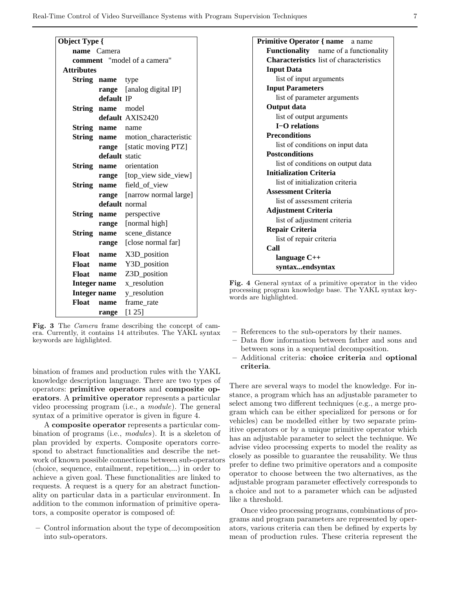| <b>Object Type {</b>        |                |                                   |  |  |
|-----------------------------|----------------|-----------------------------------|--|--|
|                             | name Camera    |                                   |  |  |
| comment "model of a camera" |                |                                   |  |  |
| <b>Attributes</b>           |                |                                   |  |  |
| String name type            |                |                                   |  |  |
|                             | range          | [analog digital IP]               |  |  |
|                             | default IP     |                                   |  |  |
| String name model           |                |                                   |  |  |
|                             |                | default AXIS2420                  |  |  |
| String name                 |                | name                              |  |  |
|                             |                | String name motion_characteristic |  |  |
|                             |                | range [static moving PTZ]         |  |  |
|                             | default static |                                   |  |  |
| String name                 |                | orientation                       |  |  |
|                             | range          | [top_view side_view]              |  |  |
| <b>String</b>               | name           | field_of_view                     |  |  |
|                             | range          | [narrow normal large]             |  |  |
|                             | default normal |                                   |  |  |
| String name                 |                | perspective                       |  |  |
|                             | range          | [normal high]                     |  |  |
| String name                 |                | scene distance                    |  |  |
|                             | range          | [close normal far]                |  |  |
| Float                       | name           | X3D_position                      |  |  |
| Float                       | name           | Y3D_position                      |  |  |
| Float name                  |                | Z3D_position                      |  |  |
| Integer name                |                | x_resolution                      |  |  |
| Integer name                |                | y_resolution                      |  |  |
| Float                       | name           | frame rate                        |  |  |
|                             | range          | [1 25]                            |  |  |

Fig. 3 The Camera frame describing the concept of camera. Currently, it contains 14 attributes. The YAKL syntax keywords are highlighted.

bination of frames and production rules with the YAKL knowledge description language. There are two types of operators: primitive operators and composite operators. A primitive operator represents a particular video processing program (i.e., a module). The general syntax of a primitive operator is given in figure 4.

A composite operator represents a particular combination of programs (i.e., modules). It is a skeleton of plan provided by experts. Composite operators correspond to abstract functionalities and describe the network of known possible connections between sub-operators (choice, sequence, entailment, repetition,...) in order to achieve a given goal. These functionalities are linked to requests. A request is a query for an abstract functionality on particular data in a particular environment. In addition to the common information of primitive operators, a composite operator is composed of:

– Control information about the type of decomposition into sub-operators.



Fig. 4 General syntax of a primitive operator in the video processing program knowledge base. The YAKL syntax keywords are highlighted.

- References to the sub-operators by their names.
- Data flow information between father and sons and between sons in a sequential decomposition.
- Additional criteria: choice criteria and optional criteria.

There are several ways to model the knowledge. For instance, a program which has an adjustable parameter to select among two different techniques (e.g., a merge program which can be either specialized for persons or for vehicles) can be modelled either by two separate primitive operators or by a unique primitive operator which has an adjustable parameter to select the technique. We advise video processing experts to model the reality as closely as possible to guarantee the reusability. We thus prefer to define two primitive operators and a composite operator to choose between the two alternatives, as the adjustable program parameter effectively corresponds to a choice and not to a parameter which can be adjusted like a threshold.

Once video processing programs, combinations of programs and program parameters are represented by operators, various criteria can then be defined by experts by mean of production rules. These criteria represent the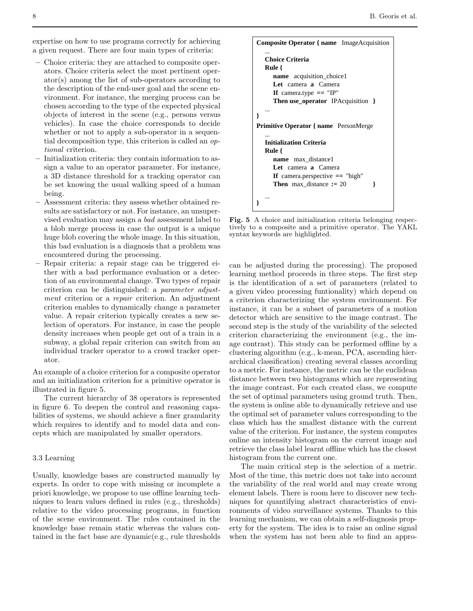expertise on how to use programs correctly for achieving a given request. There are four main types of criteria:

- Choice criteria: they are attached to composite operators. Choice criteria select the most pertinent operator(s) among the list of sub-operators according to the description of the end-user goal and the scene environment. For instance, the merging process can be chosen according to the type of the expected physical objects of interest in the scene (e.g., persons versus vehicles). In case the choice corresponds to decide whether or not to apply a sub-operator in a sequential decomposition type, this criterion is called an optional criterion.
- Initialization criteria: they contain information to assign a value to an operator parameter. For instance, a 3D distance threshold for a tracking operator can be set knowing the usual walking speed of a human being.
- Assessment criteria: they assess whether obtained results are satisfactory or not. For instance, an unsupervised evaluation may assign a bad assessment label to a blob merge process in case the output is a unique huge blob covering the whole image. In this situation, this bad evaluation is a diagnosis that a problem was encountered during the processing.
- Repair criteria: a repair stage can be triggered either with a bad performance evaluation or a detection of an environmental change. Two types of repair criterion can be distinguished: a parameter adjustment criterion or a repair criterion. An adjustment criterion enables to dynamically change a parameter value. A repair criterion typically creates a new selection of operators. For instance, in case the people density increases when people get out of a train in a subway, a global repair criterion can switch from an individual tracker operator to a crowd tracker operator.

An example of a choice criterion for a composite operator and an initialization criterion for a primitive operator is illustrated in figure 5.

The current hierarchy of 38 operators is represented in figure 6. To deepen the control and reasoning capabilities of systems, we should achieve a finer granularity which requires to identify and to model data and concepts which are manipulated by smaller operators.

# 3.3 Learning

Usually, knowledge bases are constructed manually by experts. In order to cope with missing or incomplete a priori knowledge, we propose to use offline learning techniques to learn values defined in rules (e.g., thresholds) relative to the video processing programs, in function of the scene environment. The rules contained in the knowledge base remain static whereas the values contained in the fact base are dynamic(e.g., rule thresholds

```
Primitive Operator { name 
PersonMerge
   ...
   ...
}
Composite Operator { name ImageAcquisition
   ...
   ...
}
   Choice Criteria
      name 
acquisition_choice1
      Let
camera a Camera
     If camera.type == "IP"
     Then use_operator IPAcquisition }
   Initialization Criteria
      name 
max_distance1
      Let
camera a Camera
      If camera.perspective
== "high"
     Then max_distance := 20 }
   Rule {
   Rule {
```
Fig. 5 A choice and initialization criteria belonging respectively to a composite and a primitive operator. The YAKL syntax keywords are highlighted.

can be adjusted during the processing). The proposed learning method proceeds in three steps. The first step is the identification of a set of parameters (related to a given video processing funtionality) which depend on a criterion characterizing the system environment. For instance, it can be a subset of parameters of a motion detector which are sensitive to the image contrast. The second step is the study of the variability of the selected criterion characterizing the environment (e.g., the image contrast). This study can be performed offline by a clustering algorithm (e.g., k-mean, PCA, ascending hierarchical classification) creating several classes according to a metric. For instance, the metric can be the euclidean distance between two histograms which are representing the image contrast. For each created class, we compute the set of optimal parameters using ground truth. Then, the system is online able to dynamically retrieve and use the optimal set of parameter values corresponding to the class which has the smallest distance with the current value of the criterion. For instance, the system computes online an intensity histogram on the current image and retrieve the class label learnt offline which has the closest histogram from the current one.

The main critical step is the selection of a metric. Most of the time, this metric does not take into account the variability of the real world and may create wrong element labels. There is room here to discover new techniques for quantifying abstract characteristics of environments of video surveillance systems. Thanks to this learning mechanism, we can obtain a self-diagnosis property for the system. The idea is to raise an online signal when the system has not been able to find an appro-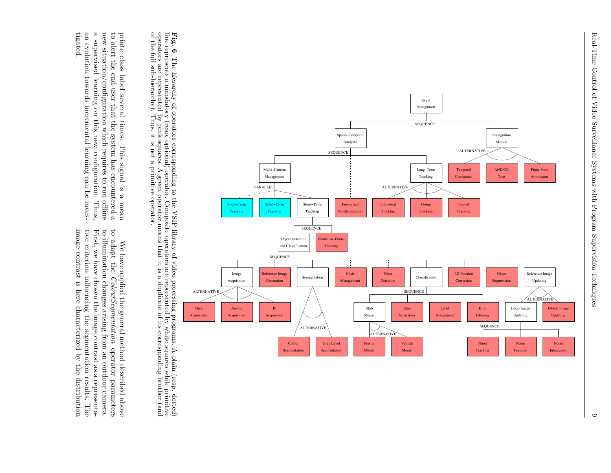

Fig.  $\circ$ The hierarchy of operators corresponding  $\vec{c}$ the VSIP library of video processing programs.  $\triangleright$ plain (resp. dotted) line represents a mandatory (resp. optional) operator. Composite operators are represented  $\mathrm{S}$ white squares while primitive operators are represented by pink squares.  $\Rightarrow$ green operator means that it is a duplicate of its corresponding brother (and of the full sub-hierarchy). Thus, it is not a primitive operator.

priate class label several times. This signal is a mean to alert the end-user that the system has encountered a new situation/configuration which requires  $\sigma$ run offline a supervised learning on this new configuration. Thus, an evolution towards incremental learning can be investigated.

**We** have applied the general method described above  $\sigma$ adapt the ColourSegmentation operator parameters to illumination changes arising from an outdoor camera. First, we have chosen the image contrast as a representative criterion influencing the segmentation results. The image contrast is here characterized  $\mathrm{d} \mathbf{d}$ the distribution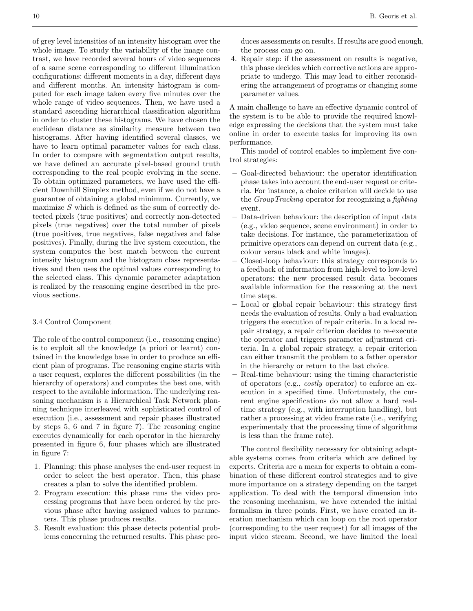of grey level intensities of an intensity histogram over the whole image. To study the variability of the image contrast, we have recorded several hours of video sequences of a same scene corresponding to different illumination configurations: different moments in a day, different days and different months. An intensity histogram is computed for each image taken every five minutes over the whole range of video sequences. Then, we have used a standard ascending hierarchical classification algorithm in order to cluster these histograms. We have chosen the euclidean distance as similarity measure between two histograms. After having identified several classes, we have to learn optimal parameter values for each class. In order to compare with segmentation output results, we have defined an accurate pixel-based ground truth corresponding to the real people evolving in the scene. To obtain optimized parameters, we have used the efficient Downhill Simplex method, even if we do not have a guarantee of obtaining a global minimum. Currently, we maximize  $S$  which is defined as the sum of correctly detected pixels (true positives) and correctly non-detected pixels (true negatives) over the total number of pixels (true positives, true negatives, false negatives and false positives). Finally, during the live system execution, the system computes the best match between the current intensity histogram and the histogram class representatives and then uses the optimal values corresponding to the selected class. This dynamic parameter adaptation is realized by the reasoning engine described in the previous sections.

#### 3.4 Control Component

The role of the control component (i.e., reasoning engine) is to exploit all the knowledge (a priori or learnt) contained in the knowledge base in order to produce an efficient plan of programs. The reasoning engine starts with a user request, explores the different possibilities (in the hierarchy of operators) and computes the best one, with respect to the available information. The underlying reasoning mechanism is a Hierarchical Task Network planning technique interleaved with sophisticated control of execution (i.e., assessment and repair phases illustrated by steps 5, 6 and 7 in figure 7). The reasoning engine executes dynamically for each operator in the hierarchy presented in figure 6, four phases which are illustrated in figure 7:

- 1. Planning: this phase analyses the end-user request in order to select the best operator. Then, this phase creates a plan to solve the identified problem.
- 2. Program execution: this phase runs the video processing programs that have been ordered by the previous phase after having assigned values to parameters. This phase produces results.
- 3. Result evaluation: this phase detects potential problems concerning the returned results. This phase pro-

duces assessments on results. If results are good enough, the process can go on.

4. Repair step: if the assessment on results is negative, this phase decides which corrective actions are appropriate to undergo. This may lead to either reconsidering the arrangement of programs or changing some parameter values.

A main challenge to have an effective dynamic control of the system is to be able to provide the required knowledge expressing the decisions that the system must take online in order to execute tasks for improving its own performance.

This model of control enables to implement five control strategies:

- Goal-directed behaviour: the operator identification phase takes into account the end-user request or criteria. For instance, a choice criterion will decide to use the GroupTracking operator for recognizing a fighting event.
- Data-driven behaviour: the description of input data (e.g., video sequence, scene environment) in order to take decisions. For instance, the parameterization of primitive operators can depend on current data (e.g., colour versus black and white images).
- Closed-loop behaviour: this strategy corresponds to a feedback of information from high-level to low-level operators: the new processed result data becomes available information for the reasoning at the next time steps.
- Local or global repair behaviour: this strategy first needs the evaluation of results. Only a bad evaluation triggers the execution of repair criteria. In a local repair strategy, a repair criterion decides to re-execute the operator and triggers parameter adjustment criteria. In a global repair strategy, a repair criterion can either transmit the problem to a father operator in the hierarchy or return to the last choice.
- Real-time behaviour: using the timing characteristic of operators (e.g., costly operator) to enforce an execution in a specified time. Unfortunately, the current engine specifications do not allow a hard realtime strategy (e.g., with interruption handling), but rather a processing at video frame rate (i.e., verifying experimentaly that the processing time of algorithms is less than the frame rate).

The control flexibility necessary for obtaining adaptable systems comes from criteria which are defined by experts. Criteria are a mean for experts to obtain a combination of these different control strategies and to give more importance on a strategy depending on the target application. To deal with the temporal dimension into the reasoning mechanism, we have extended the initial formalism in three points. First, we have created an iteration mechanism which can loop on the root operator (corresponding to the user request) for all images of the input video stream. Second, we have limited the local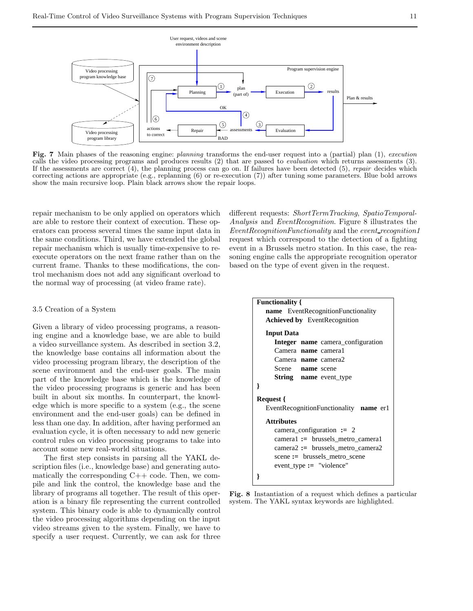

Fig. 7 Main phases of the reasoning engine: *planning* transforms the end-user request into a (partial) plan (1), execution calls the video processing programs and produces results (2) that are passed to evaluation which returns assessments (3). If the assessments are correct  $(4)$ , the planning process can go on. If failures have been detected  $(5)$ , repair decides which correcting actions are appropriate (e.g., replanning (6) or re-execution (7)) after tuning some parameters. Blue bold arrows show the main recursive loop. Plain black arrows show the repair loops.

repair mechanism to be only applied on operators which are able to restore their context of execution. These operators can process several times the same input data in the same conditions. Third, we have extended the global repair mechanism which is usually time-expensive to reexecute operators on the next frame rather than on the current frame. Thanks to these modifications, the control mechanism does not add any significant overload to the normal way of processing (at video frame rate).

# 3.5 Creation of a System

Given a library of video processing programs, a reasoning engine and a knowledge base, we are able to build a video surveillance system. As described in section 3.2, the knowledge base contains all information about the video processing program library, the description of the scene environment and the end-user goals. The main part of the knowledge base which is the knowledge of the video processing programs is generic and has been built in about six months. In counterpart, the knowledge which is more specific to a system (e.g., the scene environment and the end-user goals) can be defined in less than one day. In addition, after having performed an evaluation cycle, it is often necessary to add new generic control rules on video processing programs to take into account some new real-world situations.

The first step consists in parsing all the YAKL description files (i.e., knowledge base) and generating automatically the corresponding  $C++$  code. Then, we compile and link the control, the knowledge base and the library of programs all together. The result of this operation is a binary file representing the current controlled system. This binary code is able to dynamically control the video processing algorithms depending on the input video streams given to the system. Finally, we have to specify a user request. Currently, we can ask for three

different requests: ShortTermTracking, SpatioTemporal-Analysis and EventRecognition. Figure 8 illustrates the EventRecognitionFunctionality and the event\_recognition1 request which correspond to the detection of a fighting event in a Brussels metro station. In this case, the reasoning engine calls the appropriate recognition operator based on the type of event given in the request.

| <b>Functionality</b> {                                          |  |  |  |
|-----------------------------------------------------------------|--|--|--|
| name EventRecognitionFunctionality                              |  |  |  |
| <b>Achieved by EventRecognition</b>                             |  |  |  |
| <b>Input Data</b>                                               |  |  |  |
| <b>Integer name</b> camera configuration                        |  |  |  |
| Camera <b>name</b> cameral                                      |  |  |  |
| Camera name camera2                                             |  |  |  |
| Scene name scene                                                |  |  |  |
| String name event_type                                          |  |  |  |
| ∤                                                               |  |  |  |
| <b>Request</b> {                                                |  |  |  |
| EventRecognitionFunctionality name er1                          |  |  |  |
| <b>Attributes</b>                                               |  |  |  |
| camera configuration $:= 2$                                     |  |  |  |
| $\text{camera1} := \text{brusesels}\text{ metro}\text{camera1}$ |  |  |  |
| $\mu$ camera $2 :=$ brussels metro camera $2$                   |  |  |  |
| scene := brussels_metro_scene                                   |  |  |  |
| $event_type := "vidence"$                                       |  |  |  |
|                                                                 |  |  |  |

Fig. 8 Instantiation of a request which defines a particular system. The YAKL syntax keywords are highlighted.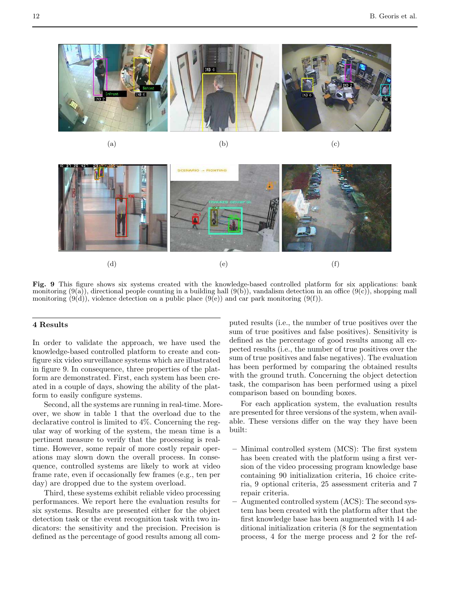





Fig. 9 This figure shows six systems created with the knowledge-based controlled platform for six applications: bank monitoring  $(9(a))$ , directional people counting in a building hall  $(9(b))$ , vandalism detection in an office  $(9(c))$ , shopping mall monitoring  $(9(d))$ , violence detection on a public place  $(9(e))$  and car park monitoring  $(9(f))$ .

### 4 Results

In order to validate the approach, we have used the knowledge-based controlled platform to create and configure six video surveillance systems which are illustrated in figure 9. In consequence, three properties of the platform are demonstrated. First, each system has been created in a couple of days, showing the ability of the platform to easily configure systems.

Second, all the systems are running in real-time. Moreover, we show in table 1 that the overload due to the declarative control is limited to 4%. Concerning the regular way of working of the system, the mean time is a pertinent measure to verify that the processing is realtime. However, some repair of more costly repair operations may slown down the overall process. In consequence, controlled systems are likely to work at video frame rate, even if occasionally few frames (e.g., ten per day) are dropped due to the system overload.

Third, these systems exhibit reliable video processing performances. We report here the evaluation results for six systems. Results are presented either for the object detection task or the event recognition task with two indicators: the sensitivity and the precision. Precision is defined as the percentage of good results among all com-

puted results (i.e., the number of true positives over the sum of true positives and false positives). Sensitivity is defined as the percentage of good results among all expected results (i.e., the number of true positives over the sum of true positives and false negatives). The evaluation has been performed by comparing the obtained results with the ground truth. Concerning the object detection task, the comparison has been performed using a pixel comparison based on bounding boxes.

For each application system, the evaluation results are presented for three versions of the system, when available. These versions differ on the way they have been built:

- Minimal controlled system (MCS): The first system has been created with the platform using a first version of the video processing program knowledge base containing 90 initialization criteria, 16 choice criteria, 9 optional criteria, 25 assessment criteria and 7 repair criteria.
- Augmented controlled system (ACS): The second system has been created with the platform after that the first knowledge base has been augmented with 14 additional initialization criteria (8 for the segmentation process, 4 for the merge process and 2 for the ref-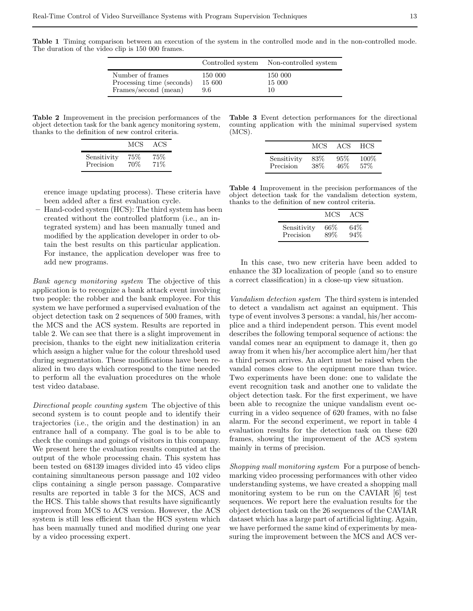Table 1 Timing comparison between an execution of the system in the controlled mode and in the non-controlled mode. The duration of the video clip is 150 000 frames.

|                           | Controlled system | Non-controlled system |
|---------------------------|-------------------|-----------------------|
| Number of frames          | 150 000           | 150 000               |
| Processing time (seconds) | 15 600            | 15 000                |
| Frames/second (mean)      | 9.6               | 10                    |

Table 2 Improvement in the precision performances of the object detection task for the bank agency monitoring system, thanks to the definition of new control criteria.

|             | MCS. | ACS  |
|-------------|------|------|
| Sensitivity | 75%  | 75%  |
| Precision   | 70\% | 71\% |

erence image updating process). These criteria have been added after a first evaluation cycle.

– Hand-coded system (HCS): The third system has been created without the controlled platform (i.e., an integrated system) and has been manually tuned and modified by the application developer in order to obtain the best results on this particular application. For instance, the application developer was free to add new programs.

Bank agency monitoring system The objective of this application is to recognize a bank attack event involving two people: the robber and the bank employee. For this system we have performed a supervised evaluation of the object detection task on 2 sequences of 500 frames, with the MCS and the ACS system. Results are reported in table 2. We can see that there is a slight improvement in precision, thanks to the eight new initialization criteria which assign a higher value for the colour threshold used during segmentation. These modifications have been realized in two days which correspond to the time needed to perform all the evaluation procedures on the whole test video database.

Directional people counting system The objective of this second system is to count people and to identify their trajectories (i.e., the origin and the destination) in an entrance hall of a company. The goal is to be able to check the comings and goings of visitors in this company. We present here the evaluation results computed at the output of the whole processing chain. This system has been tested on 68139 images divided into 45 video clips containing simultaneous person passage and 102 video clips containing a single person passage. Comparative results are reported in table 3 for the MCS, ACS and the HCS. This table shows that results have significantly improved from MCS to ACS version. However, the ACS system is still less efficient than the HCS system which has been manually tuned and modified during one year by a video processing expert.

Table 3 Event detection performances for the directional counting application with the minimal supervised system (MCS).

|             | MCS. | ACS | <b>HCS</b> |
|-------------|------|-----|------------|
| Sensitivity | 83%  | 95% | $100\%$    |
| Precision   | 38\% | 46% | 57%        |

Table 4 Improvement in the precision performances of the object detection task for the vandalism detection system, thanks to the definition of new control criteria.

|             | MCS    | ACS  |
|-------------|--------|------|
| Sensitivity | $66\%$ | 64\% |
| Precision   | 89%    | 94%  |

In this case, two new criteria have been added to enhance the 3D localization of people (and so to ensure a correct classification) in a close-up view situation.

Vandalism detection system The third system is intended to detect a vandalism act against an equipment. This type of event involves 3 persons: a vandal, his/her accomplice and a third independent person. This event model describes the following temporal sequence of actions: the vandal comes near an equipment to damage it, then go away from it when his/her accomplice alert him/her that a third person arrives. An alert must be raised when the vandal comes close to the equipment more than twice. Two experiments have been done: one to validate the event recognition task and another one to validate the object detection task. For the first experiment, we have been able to recognize the unique vandalism event occurring in a video sequence of 620 frames, with no false alarm. For the second experiment, we report in table 4 evaluation results for the detection task on these 620 frames, showing the improvement of the ACS system mainly in terms of precision.

Shopping mall monitoring system For a purpose of benchmarking video processing performances with other video understanding systems, we have created a shopping mall monitoring system to be run on the CAVIAR [6] test sequences. We report here the evaluation results for the object detection task on the 26 sequences of the CAVIAR dataset which has a large part of artificial lighting. Again, we have performed the same kind of experiments by measuring the improvement between the MCS and ACS ver-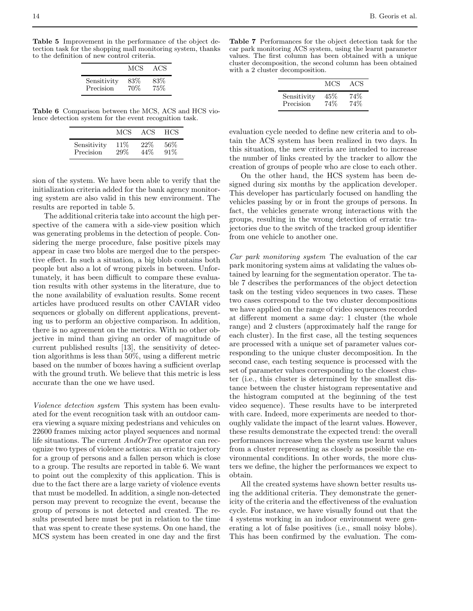Table 5 Improvement in the performance of the object detection task for the shopping mall monitoring system, thanks to the definition of new control criteria.

|             | MCS  | ACS |
|-------------|------|-----|
| Sensitivity | 83%  | 83% |
| Precision   | 70\% | 75% |

Table 6 Comparison between the MCS, ACS and HCS violence detection system for the event recognition task.

|             | MCS  | ACS | HCS. |
|-------------|------|-----|------|
| Sensitivity | 11\% | 22% | 56%  |
| Precision   | 29%  | 44% | 91%  |

sion of the system. We have been able to verify that the initialization criteria added for the bank agency monitoring system are also valid in this new environment. The results are reported in table 5.

The additional criteria take into account the high perspective of the camera with a side-view position which was generating problems in the detection of people. Considering the merge procedure, false positive pixels may appear in case two blobs are merged due to the perspective effect. In such a situation, a big blob contains both people but also a lot of wrong pixels in between. Unfortunately, it has been difficult to compare these evaluation results with other systems in the literature, due to the none availability of evaluation results. Some recent articles have produced results on other CAVIAR video sequences or globally on different applications, preventing us to perform an objective comparison. In addition, there is no agreement on the metrics. With no other objective in mind than giving an order of magnitude of current published results [13], the sensitivity of detection algorithms is less than 50%, using a different metric based on the number of boxes having a sufficient overlap with the ground truth. We believe that this metric is less accurate than the one we have used.

Violence detection system This system has been evaluated for the event recognition task with an outdoor camera viewing a square mixing pedestrians and vehicules on 22600 frames mixing actor played sequences and normal life situations. The current AndOrTree operator can recognize two types of violence actions: an erratic trajectory for a group of persons and a fallen person which is close to a group. The results are reported in table 6. We want to point out the complexity of this application. This is due to the fact there are a large variety of violence events that must be modelled. In addition, a single non-detected person may prevent to recognize the event, because the group of persons is not detected and created. The results presented here must be put in relation to the time that was spent to create these systems. On one hand, the MCS system has been created in one day and the first

Table 7 Performances for the object detection task for the car park monitoring ACS system, using the learnt parameter values. The first column has been obtained with a unique cluster decomposition, the second column has been obtained with a 2 cluster decomposition.

|             | MCS | ACS |
|-------------|-----|-----|
| Sensitivity | 45% | 74% |
| Precision   | 74% | 74% |

evaluation cycle needed to define new criteria and to obtain the ACS system has been realized in two days. In this situation, the new criteria are intended to increase the number of links created by the tracker to allow the creation of groups of people who are close to each other.

On the other hand, the HCS system has been designed during six months by the application developer. This developer has particularly focused on handling the vehicles passing by or in front the groups of persons. In fact, the vehicles generate wrong interactions with the groups, resulting in the wrong detection of erratic trajectories due to the switch of the tracked group identifier from one vehicle to another one.

Car park monitoring system The evaluation of the car park monitoring system aims at validating the values obtained by learning for the segmentation operator. The table 7 describes the performances of the object detection task on the testing video sequences in two cases. These two cases correspond to the two cluster decompositions we have applied on the range of video sequences recorded at different moment a same day: 1 cluster (the whole range) and 2 clusters (approximately half the range for each cluster). In the first case, all the testing sequences are processed with a unique set of parameter values corresponding to the unique cluster decomposition. In the second case, each testing sequence is processed with the set of parameter values corresponding to the closest cluster (i.e., this cluster is determined by the smallest distance between the cluster histogram representative and the histogram computed at the beginning of the test video sequence). These results have to be interpreted with care. Indeed, more experiments are needed to thoroughly validate the impact of the learnt values. However, these results demonstrate the expected trend: the overall performances increase when the system use learnt values from a cluster representing as closely as possible the environmental conditions. In other words, the more clusters we define, the higher the performances we expect to obtain.

All the created systems have shown better results using the additional criteria. They demonstrate the genericity of the criteria and the effectiveness of the evaluation cycle. For instance, we have visually found out that the 4 systems working in an indoor environment were generating a lot of false positives (i.e., small noisy blobs). This has been confirmed by the evaluation. The com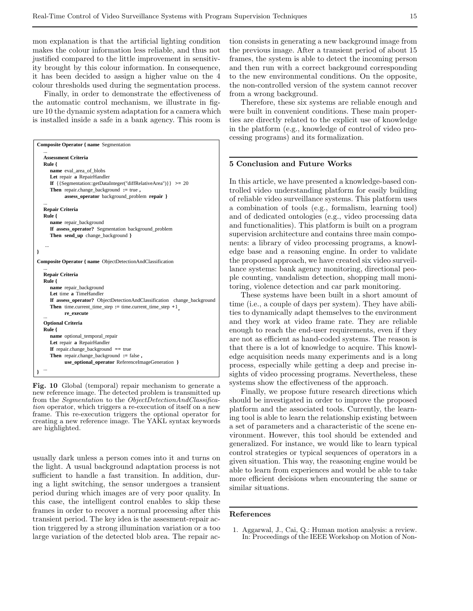mon explanation is that the artificial lighting condition makes the colour information less reliable, and thus not justified compared to the little improvement in sensitivity brought by this colour information. In consequence, it has been decided to assign a higher value on the 4 colour thresholds used during the segmentation process.

Finally, in order to demonstrate the effectiveness of the automatic control mechanism, we illustrate in figure 10 the dynamic system adaptation for a camera which is installed inside a safe in a bank agency. This room is

```
Composite Operator { name 
Segmentation
   ...
   Repair Criteria
   Rule {
     name repair_background
      Then
send_up change_background }
    ...
}
Composite Operator { name 
ObjectDetectionAndClassification
   ...
   ...
      name 
repair_background
      Let
time a TimeHandler
      Then
time.current_time_step
:= time.current_time_step +1 ,
   Rule {
   Repair Criteria
     If assess operator? ObjectDetectionAndClassification change background
            re_execute
}
   Optional Criteria
      name 
optional_temporal_repair
      Let
repair a RepairHandler
      If
repair.change_background == true
      Then
repair.change_background
:= false
,
   Rule {
   ...
             use_optional_operator
ReferenceImageGeneration }
   Assessment Criteria
      name 
eval_area_of_blobs
      Let
repair a RepairHandler
      If {{Segmentation::getDataInteger("diffRelativeArea")}}
>= 20
      Then
repair.change_background
:= true
,
   Rule {
   ...
             assess_operator background_problem
repair }
     If assess_operator? Segmentation background_problem
```
Fig. 10 Global (temporal) repair mechanism to generate a new reference image. The detected problem is transmitted up from the *Segmentation* to the *ObjectDetectionAndClassifica*tion operator, which triggers a re-execution of itself on a new frame. This re-execution triggers the optional operator for creating a new reference image. The YAKL syntax keywords are highlighted.

usually dark unless a person comes into it and turns on the light. A usual background adaptation process is not sufficient to handle a fast transition. In addition, during a light switching, the sensor undergoes a transient period during which images are of very poor quality. In this case, the intelligent control enables to skip these frames in order to recover a normal processing after this transient period. The key idea is the assesment-repair action triggered by a strong illumination variation or a too large variation of the detected blob area. The repair action consists in generating a new background image from the previous image. After a transient period of about 15 frames, the system is able to detect the incoming person and then run with a correct background corresponding to the new environmental conditions. On the opposite, the non-controlled version of the system cannot recover from a wrong background.

Therefore, these six systems are reliable enough and were built in convenient conditions. These main properties are directly related to the explicit use of knowledge in the platform (e.g., knowledge of control of video processing programs) and its formalization.

# 5 Conclusion and Future Works

In this article, we have presented a knowledge-based controlled video understanding platform for easily building of reliable video surveillance systems. This platform uses a combination of tools (e.g., formalism, learning tool) and of dedicated ontologies (e.g., video processing data and functionalities). This platform is built on a program supervision architecture and contains three main components: a library of video processing programs, a knowledge base and a reasoning engine. In order to validate the proposed approach, we have created six video surveillance systems: bank agency monitoring, directional people counting, vandalism detection, shopping mall monitoring, violence detection and car park monitoring.

These systems have been built in a short amount of time (i.e., a couple of days per system). They have abilities to dynamically adapt themselves to the environment and they work at video frame rate. They are reliable enough to reach the end-user requirements, even if they are not as efficient as hand-coded systems. The reason is that there is a lot of knowledge to acquire. This knowledge acquisition needs many experiments and is a long process, especially while getting a deep and precise insights of video processing programs. Nevertheless, these systems show the effectiveness of the approach.

Finally, we propose future research directions which should be investigated in order to improve the proposed platform and the associated tools. Currently, the learning tool is able to learn the relationship existing between a set of parameters and a characteristic of the scene environment. However, this tool should be extended and generalized. For instance, we would like to learn typical control strategies or typical sequences of operators in a given situation. This way, the reasoning engine would be able to learn from experiences and would be able to take more efficient decisions when encountering the same or similar situations.

#### References

1. Aggarwal, J., Cai, Q.: Human motion analysis: a review. In: Proceedings of the IEEE Workshop on Motion of Non